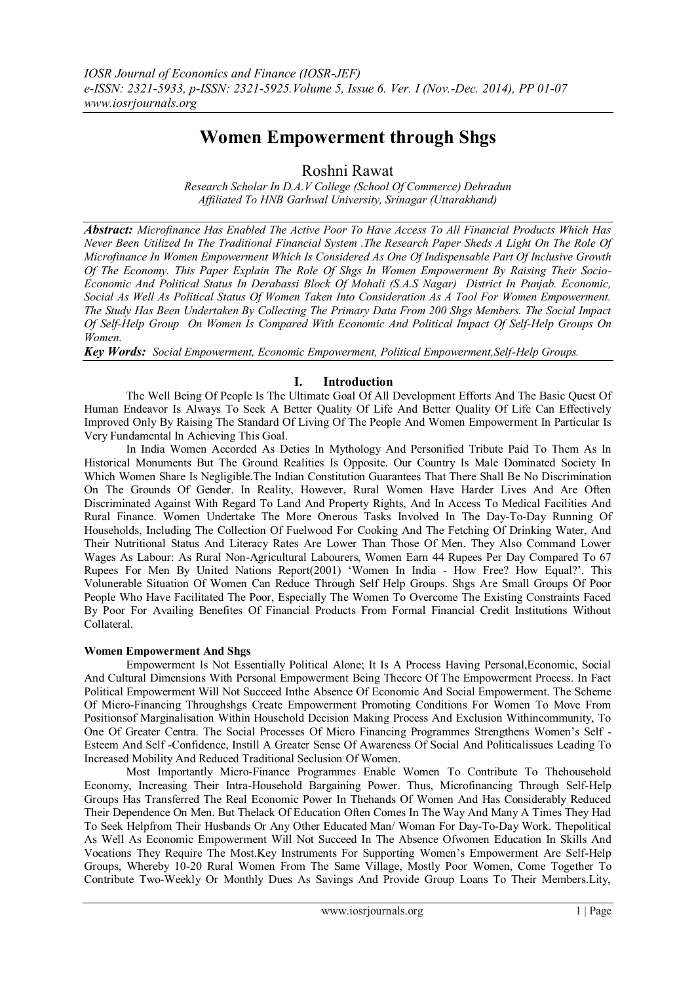# **Women Empowerment through Shgs**

Roshni Rawat

*Research Scholar In D.A.V College (School Of Commerce) Dehradun Affiliated To HNB Garhwal University, Srinagar (Uttarakhand)*

*Abstract: Microfinance Has Enabled The Active Poor To Have Access To All Financial Products Which Has Never Been Utilized In The Traditional Financial System .The Research Paper Sheds A Light On The Role Of Microfinance In Women Empowerment Which Is Considered As One Of Indispensable Part Of Inclusive Growth Of The Economy. This Paper Explain The Role Of Shgs In Women Empowerment By Raising Their Socio-Economic And Political Status In Derabassi Block Of Mohali (S.A.S Nagar) District In Punjab. Economic, Social As Well As Political Status Of Women Taken Into Consideration As A Tool For Women Empowerment. The Study Has Been Undertaken By Collecting The Primary Data From 200 Shgs Members. The Social Impact Of Self-Help Group On Women Is Compared With Economic And Political Impact Of Self-Help Groups On Women.*

*Key Words: Social Empowerment, Economic Empowerment, Political Empowerment,Self-Help Groups.*

# **I. Introduction**

The Well Being Of People Is The Ultimate Goal Of All Development Efforts And The Basic Quest Of Human Endeavor Is Always To Seek A Better Quality Of Life And Better Quality Of Life Can Effectively Improved Only By Raising The Standard Of Living Of The People And Women Empowerment In Particular Is Very Fundamental In Achieving This Goal.

In India Women Accorded As Deties In Mythology And Personified Tribute Paid To Them As In Historical Monuments But The Ground Realities Is Opposite. Our Country Is Male Dominated Society In Which Women Share Is Negligible.The Indian Constitution Guarantees That There Shall Be No Discrimination On The Grounds Of Gender. In Reality, However, Rural Women Have Harder Lives And Are Often Discriminated Against With Regard To Land And Property Rights, And In Access To Medical Facilities And Rural Finance. Women Undertake The More Onerous Tasks Involved In The Day-To-Day Running Of Households, Including The Collection Of Fuelwood For Cooking And The Fetching Of Drinking Water, And Their Nutritional Status And Literacy Rates Are Lower Than Those Of Men. They Also Command Lower Wages As Labour: As Rural Non-Agricultural Labourers, Women Earn 44 Rupees Per Day Compared To 67 Rupees For Men By United Nations Report(2001) "Women In India - How Free? How Equal?". This Volunerable Situation Of Women Can Reduce Through Self Help Groups. Shgs Are Small Groups Of Poor People Who Have Facilitated The Poor, Especially The Women To Overcome The Existing Constraints Faced By Poor For Availing Benefites Of Financial Products From Formal Financial Credit Institutions Without Collateral.

# **Women Empowerment And Shgs**

Empowerment Is Not Essentially Political Alone; It Is A Process Having Personal,Economic, Social And Cultural Dimensions With Personal Empowerment Being Thecore Of The Empowerment Process. In Fact Political Empowerment Will Not Succeed Inthe Absence Of Economic And Social Empowerment. The Scheme Of Micro-Financing Throughshgs Create Empowerment Promoting Conditions For Women To Move From Positionsof Marginalisation Within Household Decision Making Process And Exclusion Withincommunity, To One Of Greater Centra. The Social Processes Of Micro Financing Programmes Strengthens Women"s Self - Esteem And Self -Confidence, Instill A Greater Sense Of Awareness Of Social And Politicalissues Leading To Increased Mobility And Reduced Traditional Seclusion Of Women.

Most Importantly Micro-Finance Programmes Enable Women To Contribute To Thehousehold Economy, Increasing Their Intra-Household Bargaining Power. Thus, Microfinancing Through Self-Help Groups Has Transferred The Real Economic Power In Thehands Of Women And Has Considerably Reduced Their Dependence On Men. But Thelack Of Education Often Comes In The Way And Many A Times They Had To Seek Helpfrom Their Husbands Or Any Other Educated Man/ Woman For Day-To-Day Work. Thepolitical As Well As Economic Empowerment Will Not Succeed In The Absence Ofwomen Education In Skills And Vocations They Require The Most.Key Instruments For Supporting Women"s Empowerment Are Self-Help Groups, Whereby 10-20 Rural Women From The Same Village, Mostly Poor Women, Come Together To Contribute Two-Weekly Or Monthly Dues As Savings And Provide Group Loans To Their Members.Lity,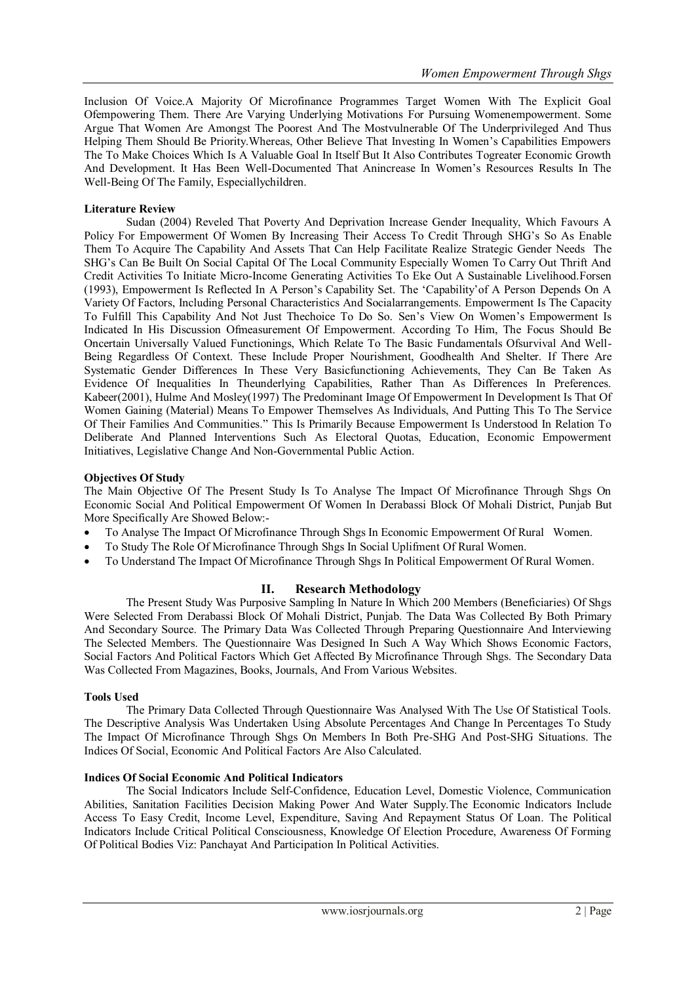Inclusion Of Voice.A Majority Of Microfinance Programmes Target Women With The Explicit Goal Ofempowering Them. There Are Varying Underlying Motivations For Pursuing Womenempowerment. Some Argue That Women Are Amongst The Poorest And The Mostvulnerable Of The Underprivileged And Thus Helping Them Should Be Priority.Whereas, Other Believe That Investing In Women"s Capabilities Empowers The To Make Choices Which Is A Valuable Goal In Itself But It Also Contributes Togreater Economic Growth And Development. It Has Been Well-Documented That Anincrease In Women"s Resources Results In The Well-Being Of The Family, Especiallychildren.

### **Literature Review**

Sudan (2004) Reveled That Poverty And Deprivation Increase Gender Inequality, Which Favours A Policy For Empowerment Of Women By Increasing Their Access To Credit Through SHG"s So As Enable Them To Acquire The Capability And Assets That Can Help Facilitate Realize Strategic Gender Needs The SHG"s Can Be Built On Social Capital Of The Local Community Especially Women To Carry Out Thrift And Credit Activities To Initiate Micro-Income Generating Activities To Eke Out A Sustainable Livelihood.Forsen (1993), Empowerment Is Reflected In A Person"s Capability Set. The "Capability"of A Person Depends On A Variety Of Factors, Including Personal Characteristics And Socialarrangements. Empowerment Is The Capacity To Fulfill This Capability And Not Just Thechoice To Do So. Sen"s View On Women"s Empowerment Is Indicated In His Discussion Ofmeasurement Of Empowerment. According To Him, The Focus Should Be Oncertain Universally Valued Functionings, Which Relate To The Basic Fundamentals Ofsurvival And Well-Being Regardless Of Context. These Include Proper Nourishment, Goodhealth And Shelter. If There Are Systematic Gender Differences In These Very Basicfunctioning Achievements, They Can Be Taken As Evidence Of Inequalities In Theunderlying Capabilities, Rather Than As Differences In Preferences. Kabeer(2001), Hulme And Mosley(1997) The Predominant Image Of Empowerment In Development Is That Of Women Gaining (Material) Means To Empower Themselves As Individuals, And Putting This To The Service Of Their Families And Communities." This Is Primarily Because Empowerment Is Understood In Relation To Deliberate And Planned Interventions Such As Electoral Quotas, Education, Economic Empowerment Initiatives, Legislative Change And Non-Governmental Public Action.

### **Objectives Of Study**

The Main Objective Of The Present Study Is To Analyse The Impact Of Microfinance Through Shgs On Economic Social And Political Empowerment Of Women In Derabassi Block Of Mohali District, Punjab But More Specifically Are Showed Below:-

- To Analyse The Impact Of Microfinance Through Shgs In Economic Empowerment Of Rural Women.
- To Study The Role Of Microfinance Through Shgs In Social Uplifment Of Rural Women.
- To Understand The Impact Of Microfinance Through Shgs In Political Empowerment Of Rural Women.

# **II. Research Methodology**

The Present Study Was Purposive Sampling In Nature In Which 200 Members (Beneficiaries) Of Shgs Were Selected From Derabassi Block Of Mohali District, Punjab. The Data Was Collected By Both Primary And Secondary Source. The Primary Data Was Collected Through Preparing Questionnaire And Interviewing The Selected Members. The Questionnaire Was Designed In Such A Way Which Shows Economic Factors, Social Factors And Political Factors Which Get Affected By Microfinance Through Shgs. The Secondary Data Was Collected From Magazines, Books, Journals, And From Various Websites.

### **Tools Used**

The Primary Data Collected Through Questionnaire Was Analysed With The Use Of Statistical Tools. The Descriptive Analysis Was Undertaken Using Absolute Percentages And Change In Percentages To Study The Impact Of Microfinance Through Shgs On Members In Both Pre-SHG And Post-SHG Situations. The Indices Of Social, Economic And Political Factors Are Also Calculated.

### **Indices Of Social Economic And Political Indicators**

The Social Indicators Include Self-Confidence, Education Level, Domestic Violence, Communication Abilities, Sanitation Facilities Decision Making Power And Water Supply.The Economic Indicators Include Access To Easy Credit, Income Level, Expenditure, Saving And Repayment Status Of Loan. The Political Indicators Include Critical Political Consciousness, Knowledge Of Election Procedure, Awareness Of Forming Of Political Bodies Viz: Panchayat And Participation In Political Activities.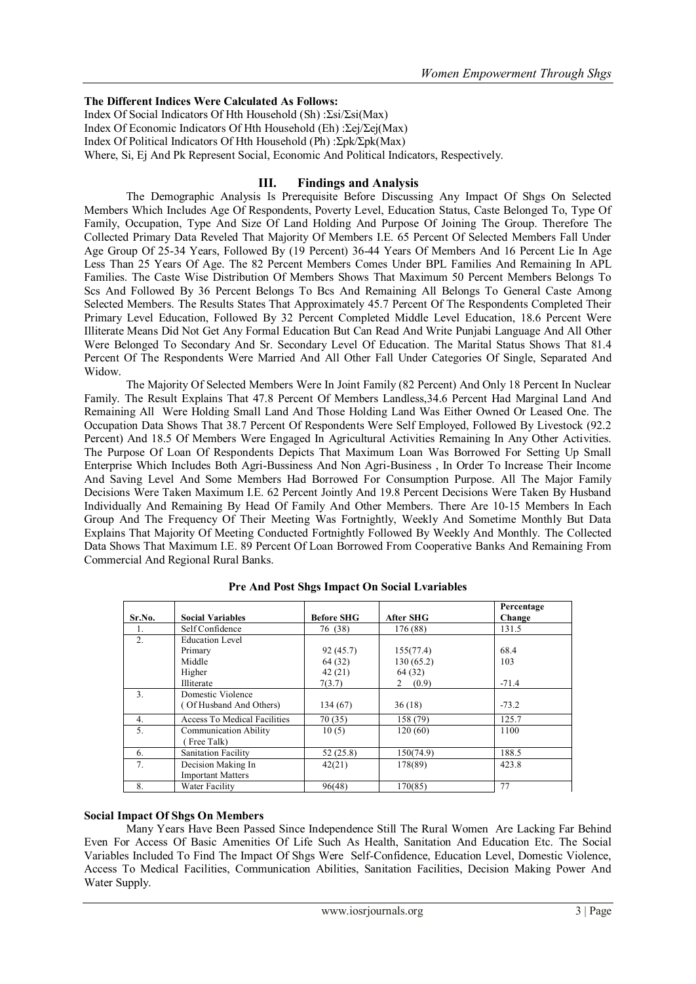# **The Different Indices Were Calculated As Follows:**

Index Of Social Indicators Of Hth Household (Sh) :Σsi/Σsi(Max) Index Of Economic Indicators Of Hth Household (Eh) :Σej/Σej(Max) Index Of Political Indicators Of Hth Household (Ph) :Σpk/Σpk(Max) Where, Si, Ej And Pk Represent Social, Economic And Political Indicators, Respectively.

# **III. Findings and Analysis**

The Demographic Analysis Is Prerequisite Before Discussing Any Impact Of Shgs On Selected Members Which Includes Age Of Respondents, Poverty Level, Education Status, Caste Belonged To, Type Of Family, Occupation, Type And Size Of Land Holding And Purpose Of Joining The Group. Therefore The Collected Primary Data Reveled That Majority Of Members I.E. 65 Percent Of Selected Members Fall Under Age Group Of 25-34 Years, Followed By (19 Percent) 36-44 Years Of Members And 16 Percent Lie In Age Less Than 25 Years Of Age. The 82 Percent Members Comes Under BPL Families And Remaining In APL Families. The Caste Wise Distribution Of Members Shows That Maximum 50 Percent Members Belongs To Scs And Followed By 36 Percent Belongs To Bcs And Remaining All Belongs To General Caste Among Selected Members. The Results States That Approximately 45.7 Percent Of The Respondents Completed Their Primary Level Education, Followed By 32 Percent Completed Middle Level Education, 18.6 Percent Were Illiterate Means Did Not Get Any Formal Education But Can Read And Write Punjabi Language And All Other Were Belonged To Secondary And Sr. Secondary Level Of Education. The Marital Status Shows That 81.4 Percent Of The Respondents Were Married And All Other Fall Under Categories Of Single, Separated And Widow.

The Majority Of Selected Members Were In Joint Family (82 Percent) And Only 18 Percent In Nuclear Family. The Result Explains That 47.8 Percent Of Members Landless,34.6 Percent Had Marginal Land And Remaining All Were Holding Small Land And Those Holding Land Was Either Owned Or Leased One. The Occupation Data Shows That 38.7 Percent Of Respondents Were Self Employed, Followed By Livestock (92.2 Percent) And 18.5 Of Members Were Engaged In Agricultural Activities Remaining In Any Other Activities. The Purpose Of Loan Of Respondents Depicts That Maximum Loan Was Borrowed For Setting Up Small Enterprise Which Includes Both Agri-Bussiness And Non Agri-Business , In Order To Increase Their Income And Saving Level And Some Members Had Borrowed For Consumption Purpose. All The Major Family Decisions Were Taken Maximum I.E. 62 Percent Jointly And 19.8 Percent Decisions Were Taken By Husband Individually And Remaining By Head Of Family And Other Members. There Are 10-15 Members In Each Group And The Frequency Of Their Meeting Was Fortnightly, Weekly And Sometime Monthly But Data Explains That Majority Of Meeting Conducted Fortnightly Followed By Weekly And Monthly. The Collected Data Shows That Maximum I.E. 89 Percent Of Loan Borrowed From Cooperative Banks And Remaining From Commercial And Regional Rural Banks.

|                |                              |                   |                  | Percentage |
|----------------|------------------------------|-------------------|------------------|------------|
| Sr.No.         | <b>Social Variables</b>      | <b>Before SHG</b> | <b>After SHG</b> | Change     |
| 1.             | Self Confidence              | 76 (38)           | 176 (88)         | 131.5      |
| 2.             | <b>Education Level</b>       |                   |                  |            |
|                | Primary                      | 92(45.7)          | 155(77.4)        | 68.4       |
|                | Middle                       | 64 (32)           | 130(65.2)        | 103        |
|                | Higher                       | 42(21)            | 64 (32)          |            |
|                | Illiterate                   | 7(3.7)            | (0.9)<br>2       | $-71.4$    |
| 3 <sub>1</sub> | Domestic Violence            |                   |                  |            |
|                | (Of Husband And Others)      | 134 (67)          | 36(18)           | $-73.2$    |
| 4 <sup>1</sup> | Access To Medical Facilities | 70(35)            | 158 (79)         | 125.7      |
| 5.             | <b>Communication Ability</b> | 10(5)             | 120(60)          | 1100       |
|                | Free Talk)                   |                   |                  |            |
| 6.             | Sanitation Facility          | 52(25.8)          | 150(74.9)        | 188.5      |
| 7 <sub>1</sub> | Decision Making In           | 42(21)            | 178(89)          | 423.8      |
|                | <b>Important Matters</b>     |                   |                  |            |
| 8.             | Water Facility               | 96(48)            | 170(85)          | 77         |

**Pre And Post Shgs Impact On Social Lvariables**

# **Social Impact Of Shgs On Members**

Many Years Have Been Passed Since Independence Still The Rural Women Are Lacking Far Behind Even For Access Of Basic Amenities Of Life Such As Health, Sanitation And Education Etc. The Social Variables Included To Find The Impact Of Shgs Were Self-Confidence, Education Level, Domestic Violence, Access To Medical Facilities, Communication Abilities, Sanitation Facilities, Decision Making Power And Water Supply.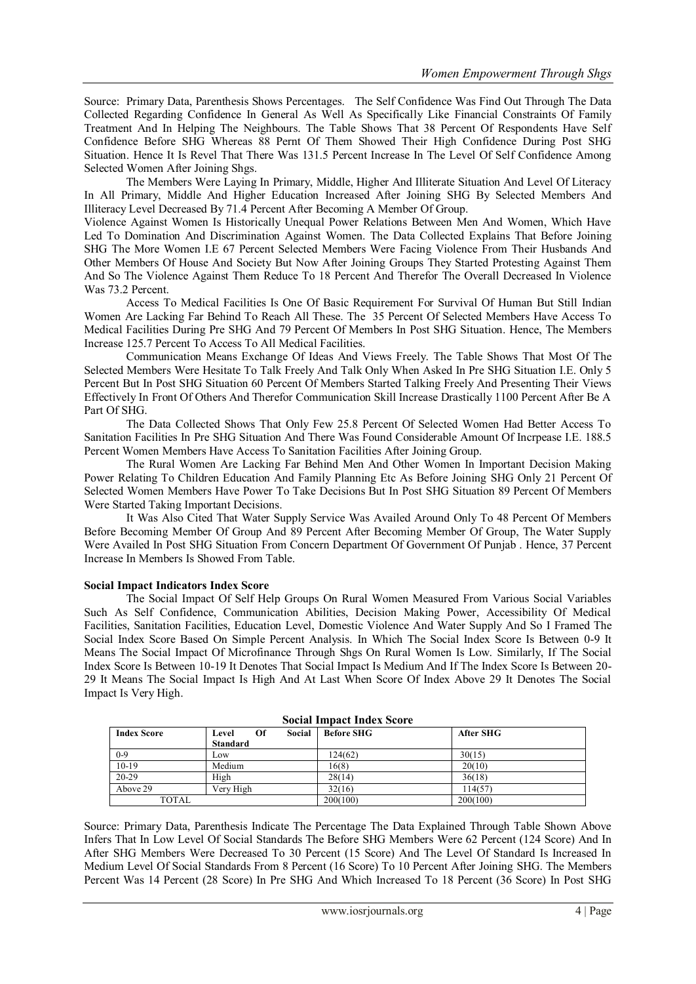Source: Primary Data, Parenthesis Shows Percentages. The Self Confidence Was Find Out Through The Data Collected Regarding Confidence In General As Well As Specifically Like Financial Constraints Of Family Treatment And In Helping The Neighbours. The Table Shows That 38 Percent Of Respondents Have Self Confidence Before SHG Whereas 88 Pernt Of Them Showed Their High Confidence During Post SHG Situation. Hence It Is Revel That There Was 131.5 Percent Increase In The Level Of Self Confidence Among Selected Women After Joining Shgs.

The Members Were Laying In Primary, Middle, Higher And Illiterate Situation And Level Of Literacy In All Primary, Middle And Higher Education Increased After Joining SHG By Selected Members And Illiteracy Level Decreased By 71.4 Percent After Becoming A Member Of Group.

Violence Against Women Is Historically Unequal Power Relations Between Men And Women, Which Have Led To Domination And Discrimination Against Women. The Data Collected Explains That Before Joining SHG The More Women I.E 67 Percent Selected Members Were Facing Violence From Their Husbands And Other Members Of House And Society But Now After Joining Groups They Started Protesting Against Them And So The Violence Against Them Reduce To 18 Percent And Therefor The Overall Decreased In Violence Was 73.2 Percent.

Access To Medical Facilities Is One Of Basic Requirement For Survival Of Human But Still Indian Women Are Lacking Far Behind To Reach All These. The 35 Percent Of Selected Members Have Access To Medical Facilities During Pre SHG And 79 Percent Of Members In Post SHG Situation. Hence, The Members Increase 125.7 Percent To Access To All Medical Facilities.

Communication Means Exchange Of Ideas And Views Freely. The Table Shows That Most Of The Selected Members Were Hesitate To Talk Freely And Talk Only When Asked In Pre SHG Situation I.E. Only 5 Percent But In Post SHG Situation 60 Percent Of Members Started Talking Freely And Presenting Their Views Effectively In Front Of Others And Therefor Communication Skill Increase Drastically 1100 Percent After Be A Part Of SHG.

The Data Collected Shows That Only Few 25.8 Percent Of Selected Women Had Better Access To Sanitation Facilities In Pre SHG Situation And There Was Found Considerable Amount Of Incrpease I.E. 188.5 Percent Women Members Have Access To Sanitation Facilities After Joining Group.

The Rural Women Are Lacking Far Behind Men And Other Women In Important Decision Making Power Relating To Children Education And Family Planning Etc As Before Joining SHG Only 21 Percent Of Selected Women Members Have Power To Take Decisions But In Post SHG Situation 89 Percent Of Members Were Started Taking Important Decisions.

It Was Also Cited That Water Supply Service Was Availed Around Only To 48 Percent Of Members Before Becoming Member Of Group And 89 Percent After Becoming Member Of Group, The Water Supply Were Availed In Post SHG Situation From Concern Department Of Government Of Punjab . Hence, 37 Percent Increase In Members Is Showed From Table.

### **Social Impact Indicators Index Score**

The Social Impact Of Self Help Groups On Rural Women Measured From Various Social Variables Such As Self Confidence, Communication Abilities, Decision Making Power, Accessibility Of Medical Facilities, Sanitation Facilities, Education Level, Domestic Violence And Water Supply And So I Framed The Social Index Score Based On Simple Percent Analysis. In Which The Social Index Score Is Between 0-9 It Means The Social Impact Of Microfinance Through Shgs On Rural Women Is Low. Similarly, If The Social Index Score Is Between 10-19 It Denotes That Social Impact Is Medium And If The Index Score Is Between 20- 29 It Means The Social Impact Is High And At Last When Score Of Index Above 29 It Denotes The Social Impact Is Very High.

| <b>Social Impact Index Score</b> |                                          |                   |           |  |  |
|----------------------------------|------------------------------------------|-------------------|-----------|--|--|
| <b>Index Score</b>               | Social<br>Of<br>Level<br><b>Standard</b> | <b>Before SHG</b> | After SHG |  |  |
| $0-9$                            | Low                                      | 124(62)           | 30(15)    |  |  |
| $10-19$                          | Medium                                   | 16(8)             | 20(10)    |  |  |
| $20-29$                          | High                                     | 28(14)            | 36(18)    |  |  |
| Above 29                         | Very High                                | 32(16)            | 114(57)   |  |  |
| <b>TOTAL</b>                     |                                          | 200(100)          | 200(100)  |  |  |

Source: Primary Data, Parenthesis Indicate The Percentage The Data Explained Through Table Shown Above Infers That In Low Level Of Social Standards The Before SHG Members Were 62 Percent (124 Score) And In After SHG Members Were Decreased To 30 Percent (15 Score) And The Level Of Standard Is Increased In Medium Level Of Social Standards From 8 Percent (16 Score) To 10 Percent After Joining SHG. The Members Percent Was 14 Percent (28 Score) In Pre SHG And Which Increased To 18 Percent (36 Score) In Post SHG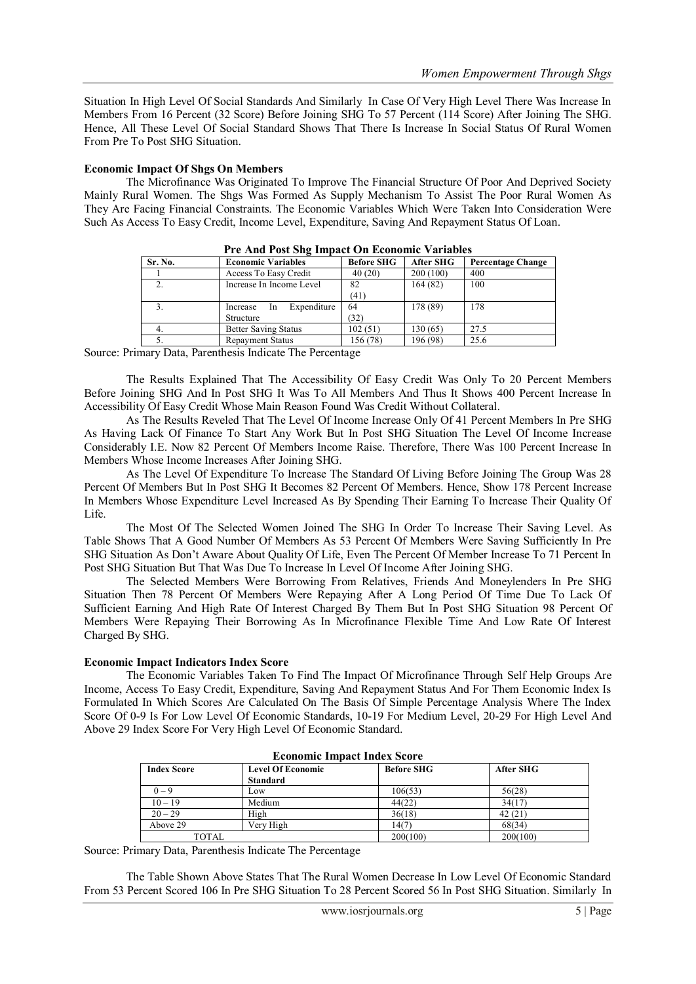Situation In High Level Of Social Standards And Similarly In Case Of Very High Level There Was Increase In Members From 16 Percent (32 Score) Before Joining SHG To 57 Percent (114 Score) After Joining The SHG. Hence, All These Level Of Social Standard Shows That There Is Increase In Social Status Of Rural Women From Pre To Post SHG Situation.

# **Economic Impact Of Shgs On Members**

The Microfinance Was Originated To Improve The Financial Structure Of Poor And Deprived Society Mainly Rural Women. The Shgs Was Formed As Supply Mechanism To Assist The Poor Rural Women As They Are Facing Financial Constraints. The Economic Variables Which Were Taken Into Consideration Were Such As Access To Easy Credit, Income Level, Expenditure, Saving And Repayment Status Of Loan.

| TTC And I ast Sing Thipact On Economic Variables |                                           |                   |           |                          |  |  |
|--------------------------------------------------|-------------------------------------------|-------------------|-----------|--------------------------|--|--|
| Sr. No.                                          | <b>Economic Variables</b>                 | <b>Before SHG</b> | After SHG | <b>Percentage Change</b> |  |  |
|                                                  | Access To Easy Credit                     | 40(20)            | 200 (100) | 400                      |  |  |
|                                                  | Increase In Income Level                  | 82                | 164(82)   | 100                      |  |  |
|                                                  |                                           | (41)              |           |                          |  |  |
|                                                  | Expenditure<br>Increase<br>1 <sub>n</sub> | 64                | 178 (89)  | 178                      |  |  |
|                                                  | Structure                                 | (32)              |           |                          |  |  |
|                                                  | <b>Better Saving Status</b>               | 102(51)           | 130 (65)  | 27.5                     |  |  |
|                                                  | <b>Repayment Status</b>                   | 156 (78)          | 196 (98)  | 25.6                     |  |  |

**Pre And Post Shg Impact On Economic Variables**

Source: Primary Data, Parenthesis Indicate The Percentage

The Results Explained That The Accessibility Of Easy Credit Was Only To 20 Percent Members Before Joining SHG And In Post SHG It Was To All Members And Thus It Shows 400 Percent Increase In Accessibility Of Easy Credit Whose Main Reason Found Was Credit Without Collateral.

As The Results Reveled That The Level Of Income Increase Only Of 41 Percent Members In Pre SHG As Having Lack Of Finance To Start Any Work But In Post SHG Situation The Level Of Income Increase Considerably I.E. Now 82 Percent Of Members Income Raise. Therefore, There Was 100 Percent Increase In Members Whose Income Increases After Joining SHG.

As The Level Of Expenditure To Increase The Standard Of Living Before Joining The Group Was 28 Percent Of Members But In Post SHG It Becomes 82 Percent Of Members. Hence, Show 178 Percent Increase In Members Whose Expenditure Level Increased As By Spending Their Earning To Increase Their Quality Of Life.

The Most Of The Selected Women Joined The SHG In Order To Increase Their Saving Level. As Table Shows That A Good Number Of Members As 53 Percent Of Members Were Saving Sufficiently In Pre SHG Situation As Don"t Aware About Quality Of Life, Even The Percent Of Member Increase To 71 Percent In Post SHG Situation But That Was Due To Increase In Level Of Income After Joining SHG.

The Selected Members Were Borrowing From Relatives, Friends And Moneylenders In Pre SHG Situation Then 78 Percent Of Members Were Repaying After A Long Period Of Time Due To Lack Of Sufficient Earning And High Rate Of Interest Charged By Them But In Post SHG Situation 98 Percent Of Members Were Repaying Their Borrowing As In Microfinance Flexible Time And Low Rate Of Interest Charged By SHG.

# **Economic Impact Indicators Index Score**

The Economic Variables Taken To Find The Impact Of Microfinance Through Self Help Groups Are Income, Access To Easy Credit, Expenditure, Saving And Repayment Status And For Them Economic Index Is Formulated In Which Scores Are Calculated On The Basis Of Simple Percentage Analysis Where The Index Score Of 0-9 Is For Low Level Of Economic Standards, 10-19 For Medium Level, 20-29 For High Level And Above 29 Index Score For Very High Level Of Economic Standard.

| <b>Economic Impact Index Score</b> |                          |                   |           |  |  |
|------------------------------------|--------------------------|-------------------|-----------|--|--|
| <b>Index Score</b>                 | <b>Level Of Economic</b> | <b>Before SHG</b> | After SHG |  |  |
|                                    | <b>Standard</b>          |                   |           |  |  |
| $0 - 9$                            | LOW                      | 106(53)           | 56(28)    |  |  |
| $10 - 19$                          | Medium                   | 44(22)            | 34(17)    |  |  |
| $20 - 29$                          | High                     | 36(18)            | 42(21)    |  |  |
| Above 29                           | Very High                | 14(7)             | 68(34)    |  |  |
| TOTAL                              |                          | 200(100)          | 200(100)  |  |  |

**Economic Impact Index Score**

Source: Primary Data, Parenthesis Indicate The Percentage

The Table Shown Above States That The Rural Women Decrease In Low Level Of Economic Standard From 53 Percent Scored 106 In Pre SHG Situation To 28 Percent Scored 56 In Post SHG Situation. Similarly In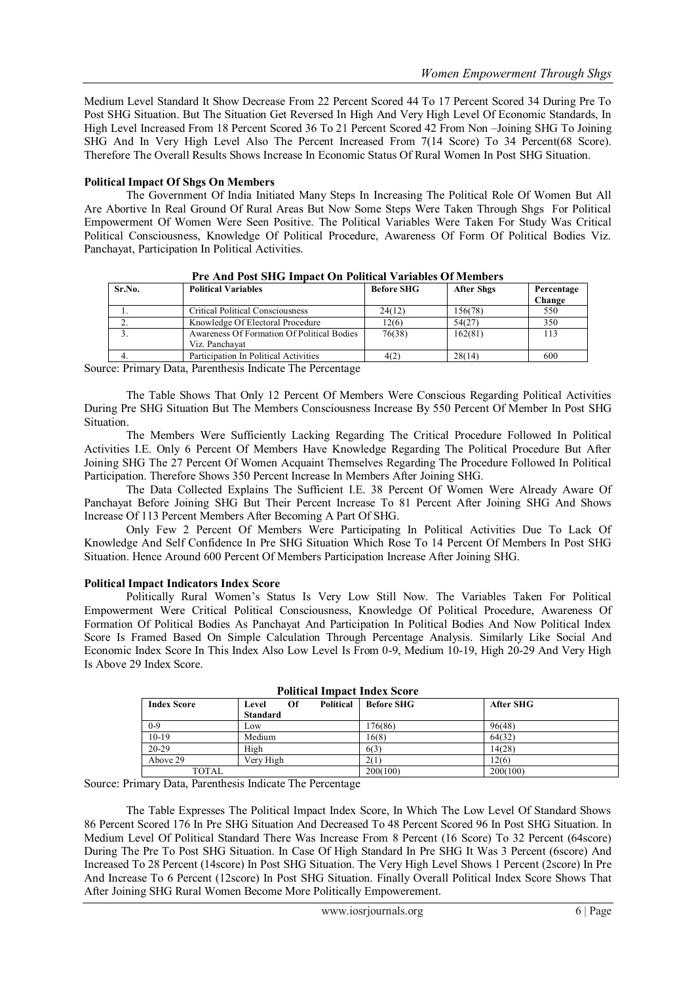Medium Level Standard It Show Decrease From 22 Percent Scored 44 To 17 Percent Scored 34 During Pre To Post SHG Situation. But The Situation Get Reversed In High And Very High Level Of Economic Standards, In High Level Increased From 18 Percent Scored 36 To 21 Percent Scored 42 From Non –Joining SHG To Joining SHG And In Very High Level Also The Percent Increased From 7(14 Score) To 34 Percent(68 Score). Therefore The Overall Results Shows Increase In Economic Status Of Rural Women In Post SHG Situation.

### **Political Impact Of Shgs On Members**

The Government Of India Initiated Many Steps In Increasing The Political Role Of Women But All Are Abortive In Real Ground Of Rural Areas But Now Some Steps Were Taken Through Shgs For Political Empowerment Of Women Were Seen Positive. The Political Variables Were Taken For Study Was Critical Political Consciousness, Knowledge Of Political Procedure, Awareness Of Form Of Political Bodies Viz. Panchayat, Participation In Political Activities.

| Sr.No. | <b>Political Variables</b>                 | <b>Before SHG</b> | <b>After Shgs</b> | Percentage |
|--------|--------------------------------------------|-------------------|-------------------|------------|
|        |                                            |                   |                   | Change     |
|        | <b>Critical Political Consciousness</b>    | 24(12)            | 156(78)           | 550        |
|        | Knowledge Of Electoral Procedure           | 12(6)             | 54(27)            | 350        |
|        | Awareness Of Formation Of Political Bodies | 76(38)            | 162(81)           | 113        |
|        | Viz. Panchavat                             |                   |                   |            |
|        | Participation In Political Activities      | 4(2)              | 28(14)            | 600        |

|  |  |  |  | Pre And Post SHG Impact On Political Variables Of Members |
|--|--|--|--|-----------------------------------------------------------|
|  |  |  |  |                                                           |

Source: Primary Data, Parenthesis Indicate The Percentage

The Table Shows That Only 12 Percent Of Members Were Conscious Regarding Political Activities During Pre SHG Situation But The Members Consciousness Increase By 550 Percent Of Member In Post SHG Situation.

The Members Were Sufficiently Lacking Regarding The Critical Procedure Followed In Political Activities I.E. Only 6 Percent Of Members Have Knowledge Regarding The Political Procedure But After Joining SHG The 27 Percent Of Women Acquaint Themselves Regarding The Procedure Followed In Political Participation. Therefore Shows 350 Percent Increase In Members After Joining SHG.

The Data Collected Explains The Sufficient I.E. 38 Percent Of Women Were Already Aware Of Panchayat Before Joining SHG But Their Percent Increase To 81 Percent After Joining SHG And Shows Increase Of 113 Percent Members After Becoming A Part Of SHG.

Only Few 2 Percent Of Members Were Participating In Political Activities Due To Lack Of Knowledge And Self Confidence In Pre SHG Situation Which Rose To 14 Percent Of Members In Post SHG Situation. Hence Around 600 Percent Of Members Participation Increase After Joining SHG.

### **Political Impact Indicators Index Score**

Politically Rural Women"s Status Is Very Low Still Now. The Variables Taken For Political Empowerment Were Critical Political Consciousness, Knowledge Of Political Procedure, Awareness Of Formation Of Political Bodies As Panchayat And Participation In Political Bodies And Now Political Index Score Is Framed Based On Simple Calculation Through Percentage Analysis. Similarly Like Social And Economic Index Score In This Index Also Low Level Is From 0-9, Medium 10-19, High 20-29 And Very High Is Above 29 Index Score.

| <b>Index Score</b> | Of<br>Political<br>Level | <b>Before SHG</b> | After SHG |  |  |  |
|--------------------|--------------------------|-------------------|-----------|--|--|--|
|                    | <b>Standard</b>          |                   |           |  |  |  |
| $0 - 9$            | Low                      | 76(86)            | 96(48)    |  |  |  |
| $10-19$            | Medium                   | 16(8)             | 64(32)    |  |  |  |
| $20 - 29$          | High                     | 6(3)              | 14(28)    |  |  |  |
| Above 29           | Verv High                | 201               | 12(6)     |  |  |  |
| <b>TOTAL</b>       |                          | 200(100)          | 200(100)  |  |  |  |

### **Political Impact Index Score**

Source: Primary Data, Parenthesis Indicate The Percentage

The Table Expresses The Political Impact Index Score, In Which The Low Level Of Standard Shows 86 Percent Scored 176 In Pre SHG Situation And Decreased To 48 Percent Scored 96 In Post SHG Situation. In Medium Level Of Political Standard There Was Increase From 8 Percent (16 Score) To 32 Percent (64score) During The Pre To Post SHG Situation. In Case Of High Standard In Pre SHG It Was 3 Percent (6score) And Increased To 28 Percent (14score) In Post SHG Situation. The Very High Level Shows 1 Percent (2score) In Pre And Increase To 6 Percent (12score) In Post SHG Situation. Finally Overall Political Index Score Shows That After Joining SHG Rural Women Become More Politically Empowerement.